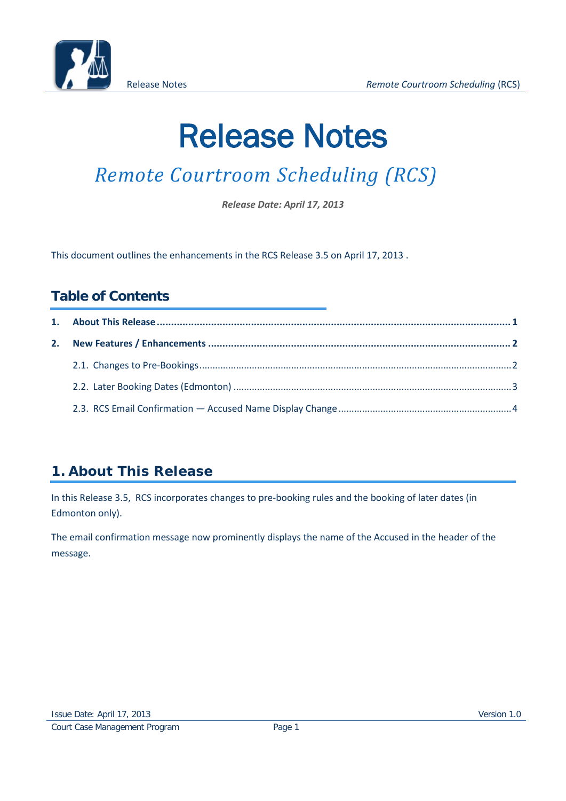

# Release Notes

## *Remote Courtroom Scheduling (RCS)*

*Release Date: April 17, 2013*

This document outlines the enhancements in the RCS Release 3.5 on April 17, 2013 .

#### **Table of Contents**

### <span id="page-0-0"></span>**1. About This Release**

In this Release 3.5, RCS incorporates changes to pre-booking rules and the booking of later dates (in Edmonton only).

The email confirmation message now prominently displays the name of the Accused in the header of the message.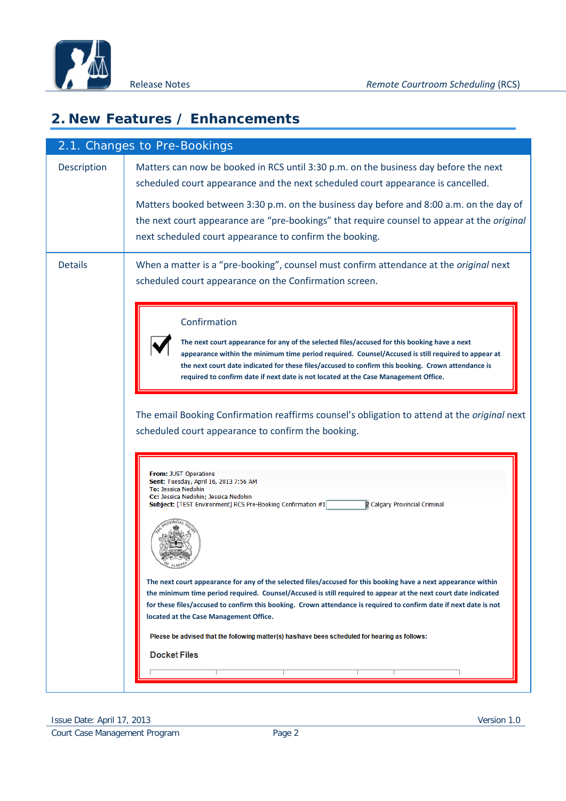

#### <span id="page-1-0"></span>**2. New Features / Enhancements**

<span id="page-1-1"></span>

|                    | 2.1. Changes to Pre-Bookings                                                                                                                                                                                                                                                                                                                                                                                                                                                                      |
|--------------------|---------------------------------------------------------------------------------------------------------------------------------------------------------------------------------------------------------------------------------------------------------------------------------------------------------------------------------------------------------------------------------------------------------------------------------------------------------------------------------------------------|
| <b>Description</b> | Matters can now be booked in RCS until 3:30 p.m. on the business day before the next<br>scheduled court appearance and the next scheduled court appearance is cancelled.                                                                                                                                                                                                                                                                                                                          |
|                    | Matters booked between 3:30 p.m. on the business day before and 8:00 a.m. on the day of<br>the next court appearance are "pre-bookings" that require counsel to appear at the original<br>next scheduled court appearance to confirm the booking.                                                                                                                                                                                                                                                 |
| <b>Details</b>     | When a matter is a "pre-booking", counsel must confirm attendance at the original next<br>scheduled court appearance on the Confirmation screen.                                                                                                                                                                                                                                                                                                                                                  |
|                    | Confirmation<br>The next court appearance for any of the selected files/accused for this booking have a next<br>appearance within the minimum time period required. Counsel/Accused is still required to appear at<br>the next court date indicated for these files/accused to confirm this booking. Crown attendance is<br>required to confirm date if next date is not located at the Case Management Office.                                                                                   |
|                    | The email Booking Confirmation reaffirms counsel's obligation to attend at the original next<br>scheduled court appearance to confirm the booking.                                                                                                                                                                                                                                                                                                                                                |
|                    | <b>From: JUST Operations</b><br>Sent: Tuesday, April 16, 2013 7:56 AM<br>To: Jessica Nedohin<br>Cc: Jessica Nedohin; Jessica Nedohin<br>Subject: [TEST Environment] RCS Pre-Booking Confirmation #1<br>2 Calgary Provincial Criminal<br>ALBERT                                                                                                                                                                                                                                                    |
|                    | The next court appearance for any of the selected files/accused for this booking have a next appearance within<br>the minimum time period required. Counsel/Accused is still required to appear at the next court date indicated<br>for these files/accused to confirm this booking. Crown attendance is required to confirm date if next date is not<br>located at the Case Management Office.<br>Please be advised that the following matter(s) has/have been scheduled for hearing as follows: |
|                    | <b>Docket Files</b>                                                                                                                                                                                                                                                                                                                                                                                                                                                                               |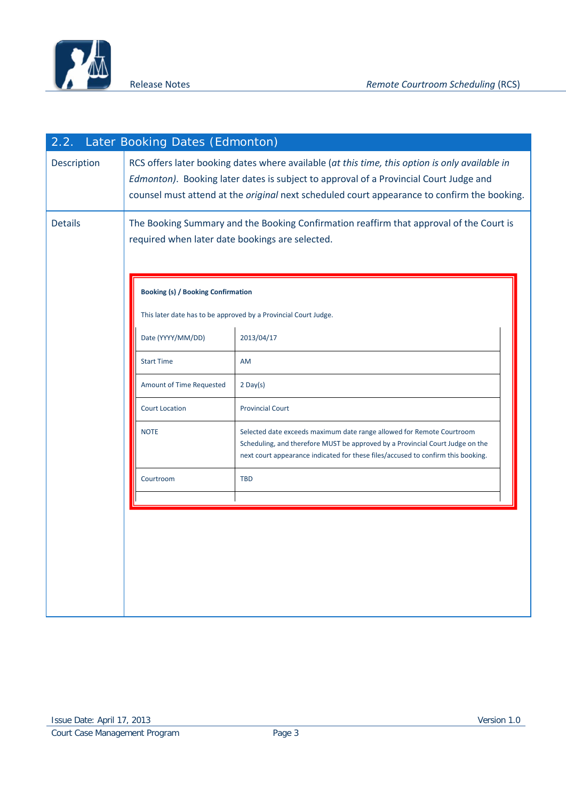

<span id="page-2-0"></span>

| 2.2.           | Later Booking Dates (Edmonton)                                                                                                                                                                                                                                                                |                                                                                                                                                                                                                                            |  |  |
|----------------|-----------------------------------------------------------------------------------------------------------------------------------------------------------------------------------------------------------------------------------------------------------------------------------------------|--------------------------------------------------------------------------------------------------------------------------------------------------------------------------------------------------------------------------------------------|--|--|
| Description    | RCS offers later booking dates where available (at this time, this option is only available in<br>Edmonton). Booking later dates is subject to approval of a Provincial Court Judge and<br>counsel must attend at the <i>original</i> next scheduled court appearance to confirm the booking. |                                                                                                                                                                                                                                            |  |  |
| <b>Details</b> | required when later date bookings are selected.                                                                                                                                                                                                                                               | The Booking Summary and the Booking Confirmation reaffirm that approval of the Court is                                                                                                                                                    |  |  |
|                | <b>Booking (s) / Booking Confirmation</b>                                                                                                                                                                                                                                                     |                                                                                                                                                                                                                                            |  |  |
|                |                                                                                                                                                                                                                                                                                               | This later date has to be approved by a Provincial Court Judge.                                                                                                                                                                            |  |  |
|                | Date (YYYY/MM/DD)                                                                                                                                                                                                                                                                             | 2013/04/17                                                                                                                                                                                                                                 |  |  |
|                | <b>Start Time</b>                                                                                                                                                                                                                                                                             | <b>AM</b>                                                                                                                                                                                                                                  |  |  |
|                | Amount of Time Requested                                                                                                                                                                                                                                                                      | $2$ Day(s)                                                                                                                                                                                                                                 |  |  |
|                | <b>Court Location</b>                                                                                                                                                                                                                                                                         | <b>Provincial Court</b>                                                                                                                                                                                                                    |  |  |
|                | <b>NOTE</b>                                                                                                                                                                                                                                                                                   | Selected date exceeds maximum date range allowed for Remote Courtroom<br>Scheduling, and therefore MUST be approved by a Provincial Court Judge on the<br>next court appearance indicated for these files/accused to confirm this booking. |  |  |
|                | Courtroom                                                                                                                                                                                                                                                                                     | <b>TBD</b>                                                                                                                                                                                                                                 |  |  |
|                |                                                                                                                                                                                                                                                                                               |                                                                                                                                                                                                                                            |  |  |
|                |                                                                                                                                                                                                                                                                                               |                                                                                                                                                                                                                                            |  |  |
|                |                                                                                                                                                                                                                                                                                               |                                                                                                                                                                                                                                            |  |  |
|                |                                                                                                                                                                                                                                                                                               |                                                                                                                                                                                                                                            |  |  |
|                |                                                                                                                                                                                                                                                                                               |                                                                                                                                                                                                                                            |  |  |